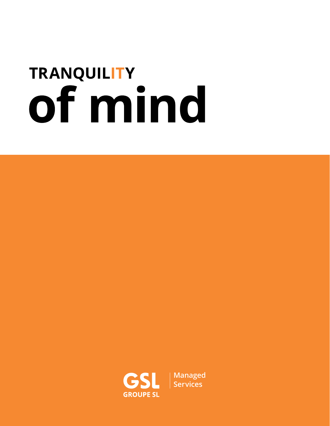# **TRANQUILITY of mind**



**[Managed](https://www.groupesl.com/en/)  Services**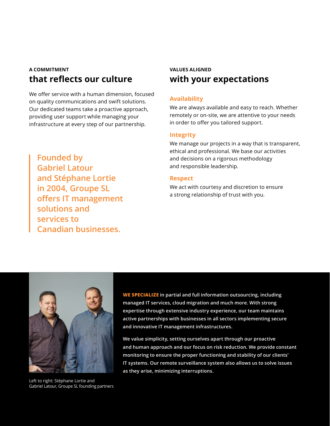# **A COMMITMENT that reflects our culture**

We offer service with a human dimension, focused on quality communications and swift solutions. Our dedicated teams take a proactive approach, providing user support while managing your infrastructure at every step of our partnership.

## **VALUES ALIGNED with your expectations**

### **Availability**

We are always available and easy to reach. Whether remotely or on-site, we are attentive to your needs in order to offer you tailored support.

#### **Integrity**

We manage our projects in a way that is transparent, ethical and professional. We base our activities and decisions on a rigorous methodology and responsible leadership.

#### **Respect**

We act with courtesy and discretion to ensure a strong relationship of trust with you.

**Founded by Gabriel Latour and Stéphane Lortie in 2004, Groupe SL offers IT management solutions and services to Canadian businesses.**



Left to right: Stéphane Lortie and Gabriel Latour, Groupe SL founding partners

**WE SPECIALIZE in partial and full information outsourcing, including managed IT services, cloud migration and much more. With strong expertise through extensive industry experience, our team maintains active partnerships with businesses in all sectors implementing secure and innovative IT management infrastructures.**

**We value simplicity, setting ourselves apart through our proactive and human approach and our focus on risk reduction. We provide constant monitoring to ensure the proper functioning and stability of our clients' IT systems. Our remote surveillance system also allows us to solve issues as they arise, minimizing interruptions.**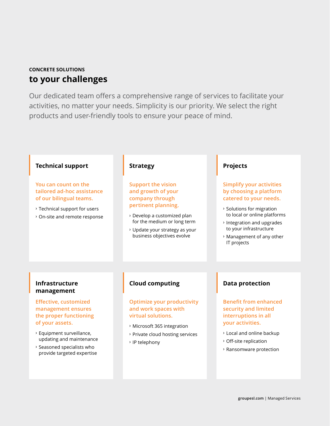## **CONCRETE SOLUTIONS to your challenges**

Our dedicated team offers a comprehensive range of services to facilitate your activities, no matter your needs. Simplicity is our priority. We select the right products and user-friendly tools to ensure your peace of mind.